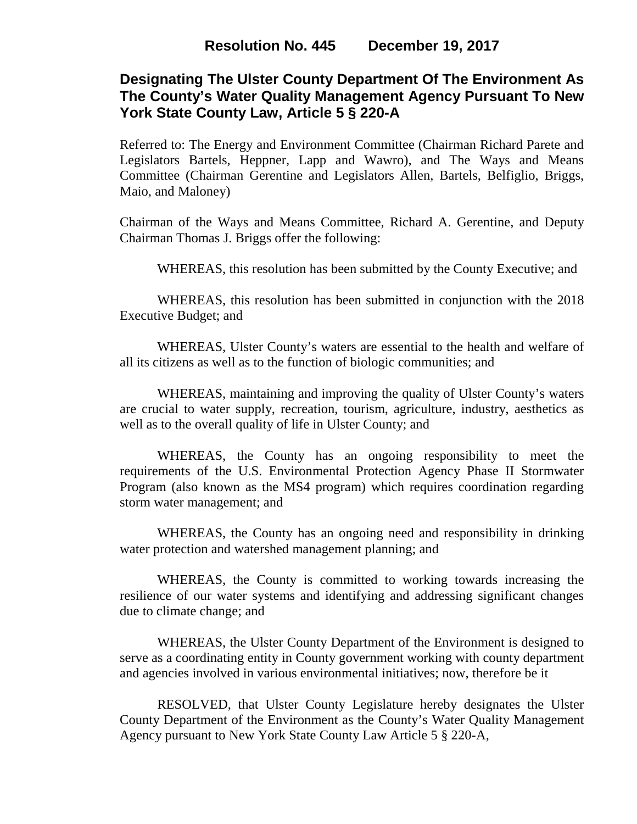# **Designating The Ulster County Department Of The Environment As The County's Water Quality Management Agency Pursuant To New York State County Law, Article 5 § 220-A**

Referred to: The Energy and Environment Committee (Chairman Richard Parete and Legislators Bartels, Heppner, Lapp and Wawro), and The Ways and Means Committee (Chairman Gerentine and Legislators Allen, Bartels, Belfiglio, Briggs, Maio, and Maloney)

Chairman of the Ways and Means Committee, Richard A. Gerentine, and Deputy Chairman Thomas J. Briggs offer the following:

WHEREAS, this resolution has been submitted by the County Executive; and

WHEREAS, this resolution has been submitted in conjunction with the 2018 Executive Budget; and

WHEREAS, Ulster County's waters are essential to the health and welfare of all its citizens as well as to the function of biologic communities; and

WHEREAS, maintaining and improving the quality of Ulster County's waters are crucial to water supply, recreation, tourism, agriculture, industry, aesthetics as well as to the overall quality of life in Ulster County; and

WHEREAS, the County has an ongoing responsibility to meet the requirements of the U.S. Environmental Protection Agency Phase II Stormwater Program (also known as the MS4 program) which requires coordination regarding storm water management; and

WHEREAS, the County has an ongoing need and responsibility in drinking water protection and watershed management planning; and

WHEREAS, the County is committed to working towards increasing the resilience of our water systems and identifying and addressing significant changes due to climate change; and

WHEREAS, the Ulster County Department of the Environment is designed to serve as a coordinating entity in County government working with county department and agencies involved in various environmental initiatives; now, therefore be it

RESOLVED, that Ulster County Legislature hereby designates the Ulster County Department of the Environment as the County's Water Quality Management Agency pursuant to New York State County Law Article 5 § 220-A,